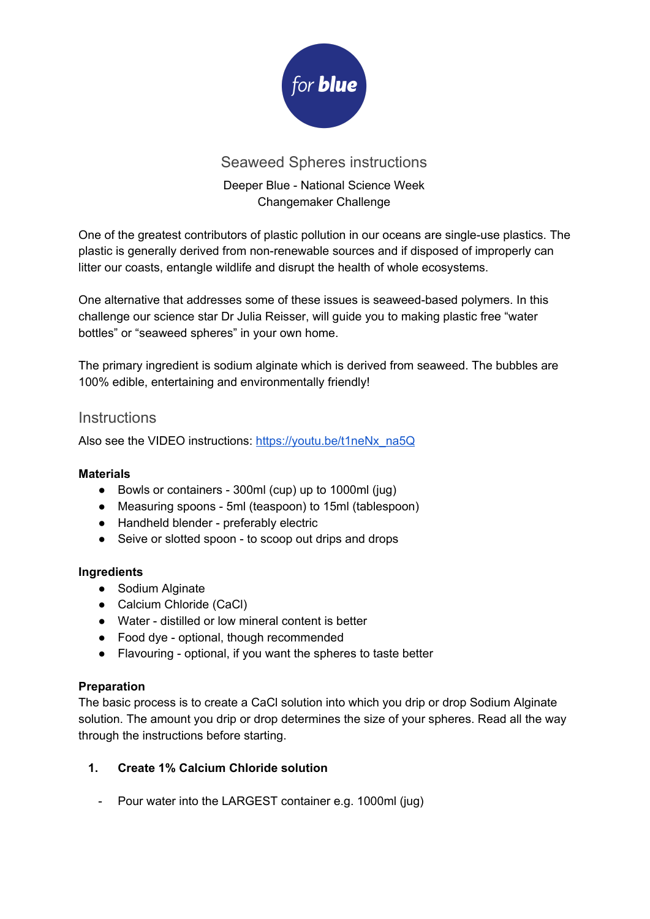

# Seaweed Spheres instructions

## Deeper Blue - National Science Week Changemaker Challenge

One of the greatest contributors of plastic pollution in our oceans are single-use plastics. The plastic is generally derived from non-renewable sources and if disposed of improperly can litter our coasts, entangle wildlife and disrupt the health of whole ecosystems.

One alternative that addresses some of these issues is seaweed-based polymers. In this challenge our science star Dr Julia Reisser, will guide you to making plastic free "water bottles" or "seaweed spheres" in your own home.

The primary ingredient is sodium alginate which is derived from seaweed. The bubbles are 100% edible, entertaining and environmentally friendly!

### **Instructions**

Also see the VIDEO instructions: [https://youtu.be/t1neNx\\_na5Q](https://youtu.be/t1neNx_na5Q)

#### **Materials**

- Bowls or containers 300ml (cup) up to 1000ml (jug)
- Measuring spoons 5ml (teaspoon) to 15ml (tablespoon)
- Handheld blender preferably electric
- Seive or slotted spoon to scoop out drips and drops

#### **Ingredients**

- Sodium Alginate
- Calcium Chloride (CaCl)
- Water distilled or low mineral content is better
- Food dye optional, though recommended
- Flavouring optional, if you want the spheres to taste better

#### **Preparation**

The basic process is to create a CaCl solution into which you drip or drop Sodium Alginate solution. The amount you drip or drop determines the size of your spheres. Read all the way through the instructions before starting.

#### **1. Create 1% Calcium Chloride solution**

- Pour water into the LARGEST container e.g. 1000ml (jug)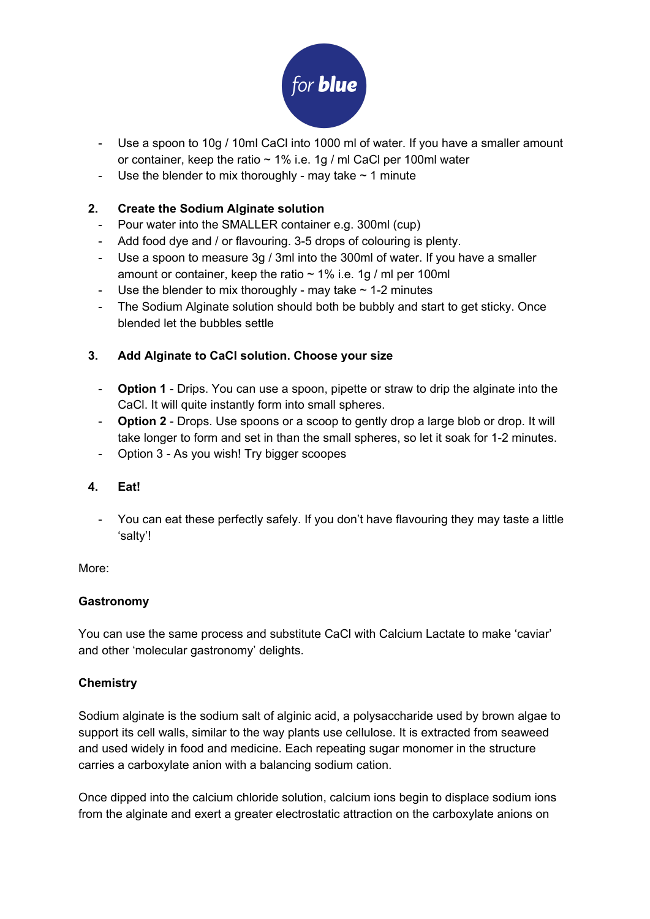

- Use a spoon to 10g / 10ml CaCl into 1000 ml of water. If you have a smaller amount or container, keep the ratio ~ 1% i.e. 1g / ml CaCl per 100ml water
- Use the blender to mix thoroughly may take  $\sim$  1 minute

#### **2. Create the Sodium Alginate solution**

- Pour water into the SMALLER container e.g. 300ml (cup)
- Add food dye and / or flavouring. 3-5 drops of colouring is plenty.
- Use a spoon to measure 3g / 3ml into the 300ml of water. If you have a smaller amount or container, keep the ratio  $\sim$  1% i.e. 1g / ml per 100ml
- Use the blender to mix thoroughly may take  $\sim$  1-2 minutes
- The Sodium Alginate solution should both be bubbly and start to get sticky. Once blended let the bubbles settle

#### **3. Add Alginate to CaCl solution. Choose your size**

- **Option 1** Drips. You can use a spoon, pipette or straw to drip the alginate into the CaCl. It will quite instantly form into small spheres.
- **Option 2** Drops. Use spoons or a scoop to gently drop a large blob or drop. It will take longer to form and set in than the small spheres, so let it soak for 1-2 minutes.
- Option 3 As you wish! Try bigger scoopes

#### **4. Eat!**

- You can eat these perfectly safely. If you don't have flavouring they may taste a little 'salty'!

More:

#### **Gastronomy**

You can use the same process and substitute CaCl with Calcium Lactate to make 'caviar' and other 'molecular gastronomy' delights.

#### **Chemistry**

Sodium alginate is the sodium salt of alginic acid, a polysaccharide used by brown algae to support its cell walls, similar to the way plants use cellulose. It is extracted from seaweed and used widely in food and medicine. Each repeating sugar monomer in the structure carries a carboxylate anion with a balancing sodium cation.

Once dipped into the calcium chloride solution, calcium ions begin to displace sodium ions from the alginate and exert a greater electrostatic attraction on the carboxylate anions on